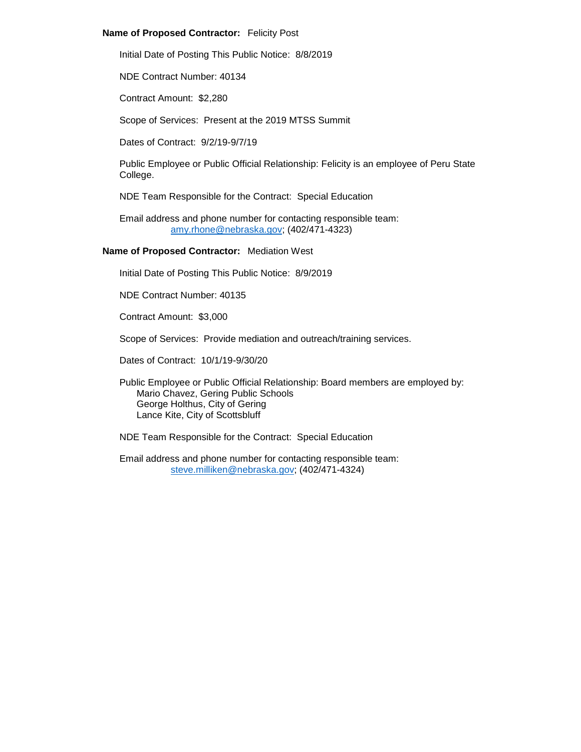# **Name of Proposed Contractor:** Felicity Post

Initial Date of Posting This Public Notice: 8/8/2019

NDE Contract Number: 40134

Contract Amount: \$2,280

Scope of Services: Present at the 2019 MTSS Summit

Dates of Contract: 9/2/19-9/7/19

Public Employee or Public Official Relationship: Felicity is an employee of Peru State College.

NDE Team Responsible for the Contract: Special Education

Email address and phone number for contacting responsible team: [amy.rhone@nebraska.gov;](mailto:amy.rhone@nebraska.gov) (402/471-4323)

**Name of Proposed Contractor:** Mediation West

Initial Date of Posting This Public Notice: 8/9/2019

NDE Contract Number: 40135

Contract Amount: \$3,000

Scope of Services: Provide mediation and outreach/training services.

Dates of Contract: 10/1/19-9/30/20

Public Employee or Public Official Relationship: Board members are employed by: Mario Chavez, Gering Public Schools George Holthus, City of Gering Lance Kite, City of Scottsbluff

NDE Team Responsible for the Contract: Special Education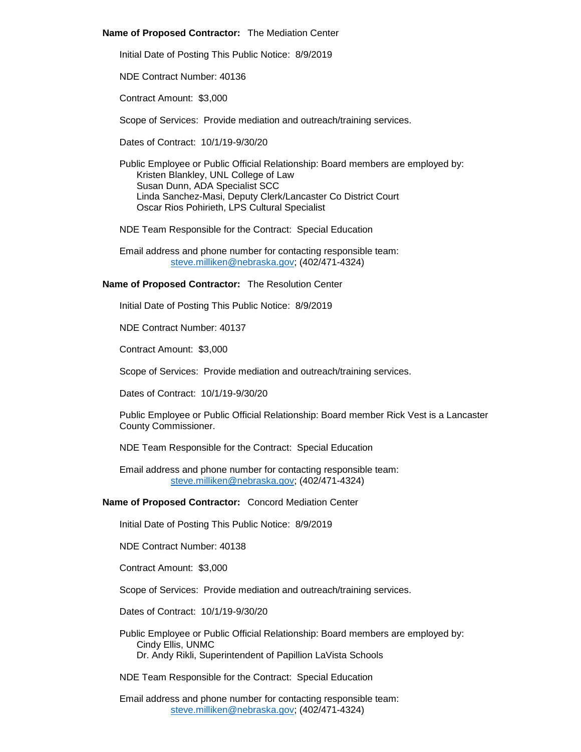### **Name of Proposed Contractor:** The Mediation Center

Initial Date of Posting This Public Notice: 8/9/2019

NDE Contract Number: 40136

Contract Amount: \$3,000

Scope of Services: Provide mediation and outreach/training services.

Dates of Contract: 10/1/19-9/30/20

Public Employee or Public Official Relationship: Board members are employed by: Kristen Blankley, UNL College of Law Susan Dunn, ADA Specialist SCC Linda Sanchez-Masi, Deputy Clerk/Lancaster Co District Court Oscar Rios Pohirieth, LPS Cultural Specialist

NDE Team Responsible for the Contract: Special Education

Email address and phone number for contacting responsible team: [steve.milliken@nebraska.gov;](mailto:steve.milliken@nebraska.gov) (402/471-4324)

# **Name of Proposed Contractor:** The Resolution Center

Initial Date of Posting This Public Notice: 8/9/2019

NDE Contract Number: 40137

Contract Amount: \$3,000

Scope of Services: Provide mediation and outreach/training services.

Dates of Contract: 10/1/19-9/30/20

Public Employee or Public Official Relationship: Board member Rick Vest is a Lancaster County Commissioner.

NDE Team Responsible for the Contract: Special Education

Email address and phone number for contacting responsible team: [steve.milliken@nebraska.gov;](mailto:steve.milliken@nebraska.gov) (402/471-4324)

# **Name of Proposed Contractor:** Concord Mediation Center

Initial Date of Posting This Public Notice: 8/9/2019

NDE Contract Number: 40138

Contract Amount: \$3,000

Scope of Services: Provide mediation and outreach/training services.

Dates of Contract: 10/1/19-9/30/20

Public Employee or Public Official Relationship: Board members are employed by: Cindy Ellis, UNMC Dr. Andy Rikli, Superintendent of Papillion LaVista Schools

NDE Team Responsible for the Contract: Special Education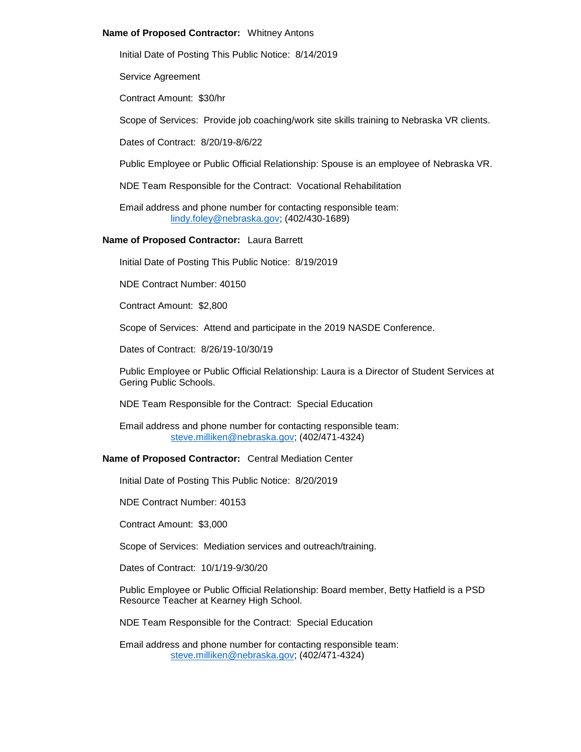### **Name of Proposed Contractor:** Whitney Antons

Initial Date of Posting This Public Notice: 8/14/2019

Service Agreement

Contract Amount: \$30/hr

Scope of Services: Provide job coaching/work site skills training to Nebraska VR clients.

Dates of Contract: 8/20/19-8/6/22

Public Employee or Public Official Relationship: Spouse is an employee of Nebraska VR.

NDE Team Responsible for the Contract: Vocational Rehabilitation

Email address and phone number for contacting responsible team: [lindy.foley@nebraska.gov;](mailto:lindy.foley@nebraska.gov) (402/430-1689)

### **Name of Proposed Contractor:** Laura Barrett

Initial Date of Posting This Public Notice: 8/19/2019

NDE Contract Number: 40150

Contract Amount: \$2,800

Scope of Services: Attend and participate in the 2019 NASDE Conference.

Dates of Contract: 8/26/19-10/30/19

Public Employee or Public Official Relationship: Laura is a Director of Student Services at Gering Public Schools.

NDE Team Responsible for the Contract: Special Education

Email address and phone number for contacting responsible team: [steve.milliken@nebraska.gov;](mailto:steve.milliken@nebraska.gov) (402/471-4324)

## **Name of Proposed Contractor:** Central Mediation Center

Initial Date of Posting This Public Notice: 8/20/2019

NDE Contract Number: 40153

Contract Amount: \$3,000

Scope of Services: Mediation services and outreach/training.

Dates of Contract: 10/1/19-9/30/20

Public Employee or Public Official Relationship: Board member, Betty Hatfield is a PSD Resource Teacher at Kearney High School.

NDE Team Responsible for the Contract: Special Education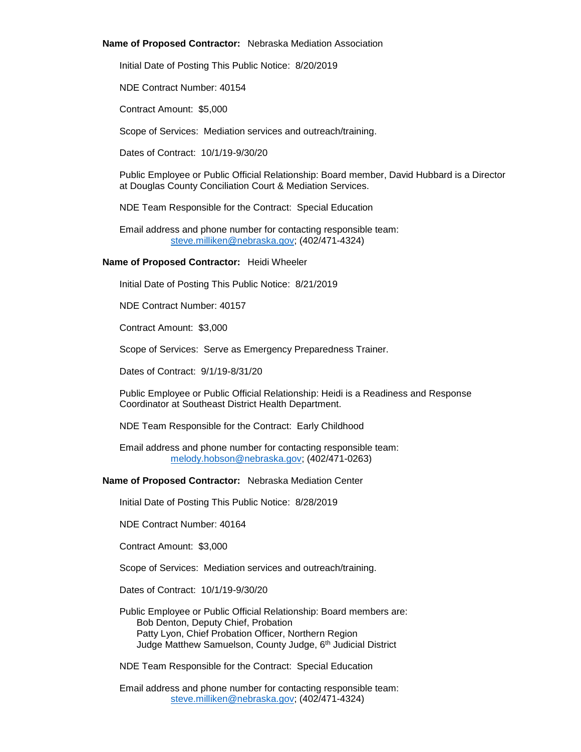### **Name of Proposed Contractor:** Nebraska Mediation Association

Initial Date of Posting This Public Notice: 8/20/2019

NDE Contract Number: 40154

Contract Amount: \$5,000

Scope of Services: Mediation services and outreach/training.

Dates of Contract: 10/1/19-9/30/20

Public Employee or Public Official Relationship: Board member, David Hubbard is a Director at Douglas County Conciliation Court & Mediation Services.

NDE Team Responsible for the Contract: Special Education

Email address and phone number for contacting responsible team: [steve.milliken@nebraska.gov;](mailto:steve.milliken@nebraska.gov) (402/471-4324)

### **Name of Proposed Contractor:** Heidi Wheeler

Initial Date of Posting This Public Notice: 8/21/2019

NDE Contract Number: 40157

Contract Amount: \$3,000

Scope of Services: Serve as Emergency Preparedness Trainer.

Dates of Contract: 9/1/19-8/31/20

Public Employee or Public Official Relationship: Heidi is a Readiness and Response Coordinator at Southeast District Health Department.

NDE Team Responsible for the Contract: Early Childhood

Email address and phone number for contacting responsible team: [melody.hobson@nebraska.gov;](mailto:melody.hobson@nebraska.gov) (402/471-0263)

**Name of Proposed Contractor:** Nebraska Mediation Center

Initial Date of Posting This Public Notice: 8/28/2019

NDE Contract Number: 40164

Contract Amount: \$3,000

Scope of Services: Mediation services and outreach/training.

Dates of Contract: 10/1/19-9/30/20

Public Employee or Public Official Relationship: Board members are: Bob Denton, Deputy Chief, Probation Patty Lyon, Chief Probation Officer, Northern Region Judge Matthew Samuelson, County Judge, 6<sup>th</sup> Judicial District

NDE Team Responsible for the Contract: Special Education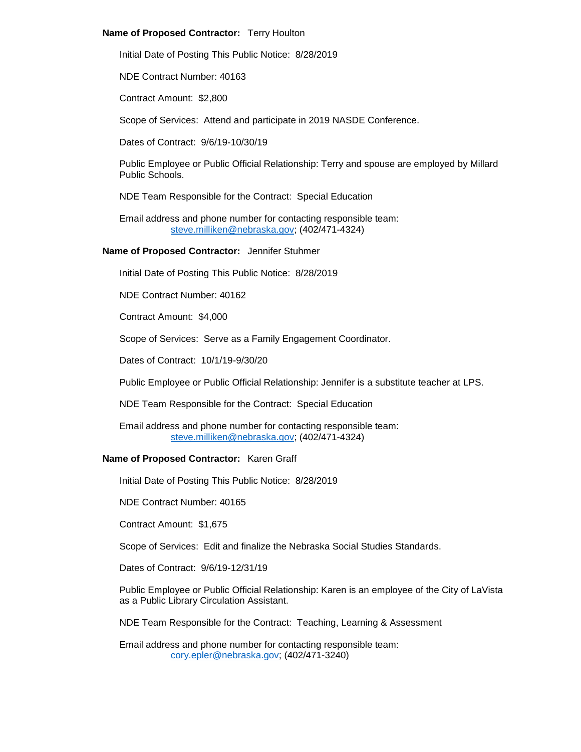## **Name of Proposed Contractor:** Terry Houlton

Initial Date of Posting This Public Notice: 8/28/2019

NDE Contract Number: 40163

Contract Amount: \$2,800

Scope of Services: Attend and participate in 2019 NASDE Conference.

Dates of Contract: 9/6/19-10/30/19

Public Employee or Public Official Relationship: Terry and spouse are employed by Millard Public Schools.

NDE Team Responsible for the Contract: Special Education

Email address and phone number for contacting responsible team: [steve.milliken@nebraska.gov;](mailto:steve.milliken@nebraska.gov) (402/471-4324)

# **Name of Proposed Contractor:** Jennifer Stuhmer

Initial Date of Posting This Public Notice: 8/28/2019

NDE Contract Number: 40162

Contract Amount: \$4,000

Scope of Services: Serve as a Family Engagement Coordinator.

Dates of Contract: 10/1/19-9/30/20

Public Employee or Public Official Relationship: Jennifer is a substitute teacher at LPS.

NDE Team Responsible for the Contract: Special Education

Email address and phone number for contacting responsible team: [steve.milliken@nebraska.gov;](mailto:steve.milliken@nebraska.gov) (402/471-4324)

## **Name of Proposed Contractor:** Karen Graff

Initial Date of Posting This Public Notice: 8/28/2019

NDE Contract Number: 40165

Contract Amount: \$1,675

Scope of Services: Edit and finalize the Nebraska Social Studies Standards.

Dates of Contract: 9/6/19-12/31/19

Public Employee or Public Official Relationship: Karen is an employee of the City of LaVista as a Public Library Circulation Assistant.

NDE Team Responsible for the Contract: Teaching, Learning & Assessment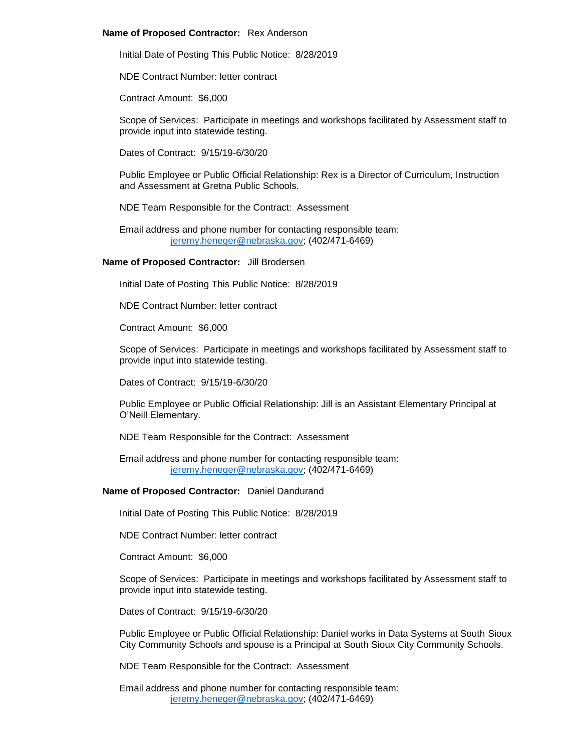### **Name of Proposed Contractor:** Rex Anderson

Initial Date of Posting This Public Notice: 8/28/2019

NDE Contract Number: letter contract

Contract Amount: \$6,000

Scope of Services: Participate in meetings and workshops facilitated by Assessment staff to provide input into statewide testing.

Dates of Contract: 9/15/19-6/30/20

Public Employee or Public Official Relationship: Rex is a Director of Curriculum, Instruction and Assessment at Gretna Public Schools.

NDE Team Responsible for the Contract: Assessment

Email address and phone number for contacting responsible team: [jeremy.heneger@nebraska.gov;](mailto:jeremy.heneger@nebraska.gov) (402/471-6469)

#### **Name of Proposed Contractor:** Jill Brodersen

Initial Date of Posting This Public Notice: 8/28/2019

NDE Contract Number: letter contract

Contract Amount: \$6,000

Scope of Services: Participate in meetings and workshops facilitated by Assessment staff to provide input into statewide testing.

Dates of Contract: 9/15/19-6/30/20

Public Employee or Public Official Relationship: Jill is an Assistant Elementary Principal at O'Neill Elementary.

NDE Team Responsible for the Contract: Assessment

Email address and phone number for contacting responsible team: [jeremy.heneger@nebraska.gov;](mailto:jeremy.heneger@nebraska.gov) (402/471-6469)

#### **Name of Proposed Contractor:** Daniel Dandurand

Initial Date of Posting This Public Notice: 8/28/2019

NDE Contract Number: letter contract

Contract Amount: \$6,000

Scope of Services: Participate in meetings and workshops facilitated by Assessment staff to provide input into statewide testing.

Dates of Contract: 9/15/19-6/30/20

Public Employee or Public Official Relationship: Daniel works in Data Systems at South Sioux City Community Schools and spouse is a Principal at South Sioux City Community Schools.

NDE Team Responsible for the Contract: Assessment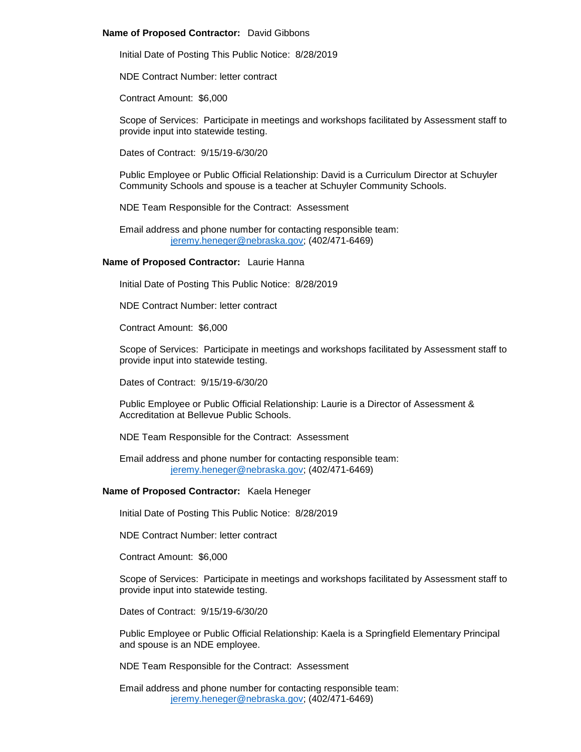### **Name of Proposed Contractor:** David Gibbons

Initial Date of Posting This Public Notice: 8/28/2019

NDE Contract Number: letter contract

Contract Amount: \$6,000

Scope of Services: Participate in meetings and workshops facilitated by Assessment staff to provide input into statewide testing.

Dates of Contract: 9/15/19-6/30/20

Public Employee or Public Official Relationship: David is a Curriculum Director at Schuyler Community Schools and spouse is a teacher at Schuyler Community Schools.

NDE Team Responsible for the Contract: Assessment

Email address and phone number for contacting responsible team: [jeremy.heneger@nebraska.gov;](mailto:jeremy.heneger@nebraska.gov) (402/471-6469)

# **Name of Proposed Contractor:** Laurie Hanna

Initial Date of Posting This Public Notice: 8/28/2019

NDE Contract Number: letter contract

Contract Amount: \$6,000

Scope of Services: Participate in meetings and workshops facilitated by Assessment staff to provide input into statewide testing.

Dates of Contract: 9/15/19-6/30/20

Public Employee or Public Official Relationship: Laurie is a Director of Assessment & Accreditation at Bellevue Public Schools.

NDE Team Responsible for the Contract: Assessment

Email address and phone number for contacting responsible team: [jeremy.heneger@nebraska.gov;](mailto:jeremy.heneger@nebraska.gov) (402/471-6469)

# **Name of Proposed Contractor:** Kaela Heneger

Initial Date of Posting This Public Notice: 8/28/2019

NDE Contract Number: letter contract

Contract Amount: \$6,000

Scope of Services: Participate in meetings and workshops facilitated by Assessment staff to provide input into statewide testing.

Dates of Contract: 9/15/19-6/30/20

Public Employee or Public Official Relationship: Kaela is a Springfield Elementary Principal and spouse is an NDE employee.

NDE Team Responsible for the Contract: Assessment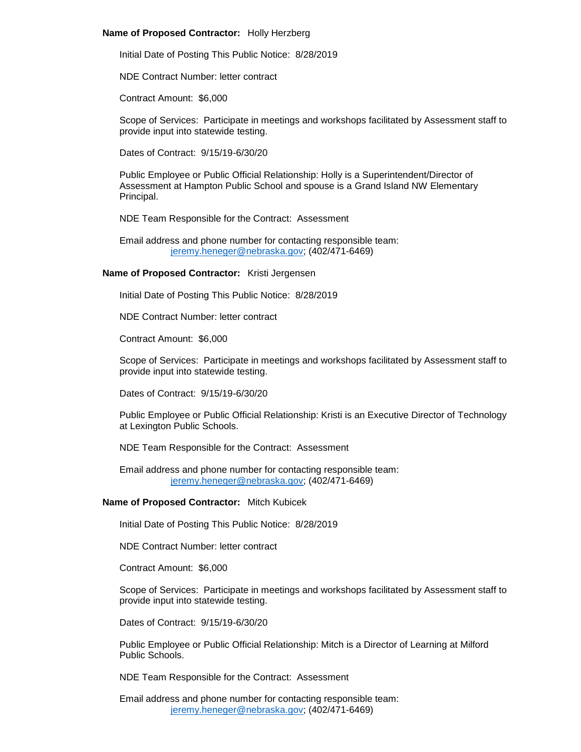### **Name of Proposed Contractor:** Holly Herzberg

Initial Date of Posting This Public Notice: 8/28/2019

NDE Contract Number: letter contract

Contract Amount: \$6,000

Scope of Services: Participate in meetings and workshops facilitated by Assessment staff to provide input into statewide testing.

Dates of Contract: 9/15/19-6/30/20

Public Employee or Public Official Relationship: Holly is a Superintendent/Director of Assessment at Hampton Public School and spouse is a Grand Island NW Elementary Principal.

NDE Team Responsible for the Contract: Assessment

Email address and phone number for contacting responsible team: [jeremy.heneger@nebraska.gov;](mailto:jeremy.heneger@nebraska.gov) (402/471-6469)

# **Name of Proposed Contractor:** Kristi Jergensen

Initial Date of Posting This Public Notice: 8/28/2019

NDE Contract Number: letter contract

Contract Amount: \$6,000

Scope of Services: Participate in meetings and workshops facilitated by Assessment staff to provide input into statewide testing.

Dates of Contract: 9/15/19-6/30/20

Public Employee or Public Official Relationship: Kristi is an Executive Director of Technology at Lexington Public Schools.

NDE Team Responsible for the Contract: Assessment

Email address and phone number for contacting responsible team: [jeremy.heneger@nebraska.gov;](mailto:jeremy.heneger@nebraska.gov) (402/471-6469)

### **Name of Proposed Contractor:** Mitch Kubicek

Initial Date of Posting This Public Notice: 8/28/2019

NDE Contract Number: letter contract

Contract Amount: \$6,000

Scope of Services: Participate in meetings and workshops facilitated by Assessment staff to provide input into statewide testing.

Dates of Contract: 9/15/19-6/30/20

Public Employee or Public Official Relationship: Mitch is a Director of Learning at Milford Public Schools.

NDE Team Responsible for the Contract: Assessment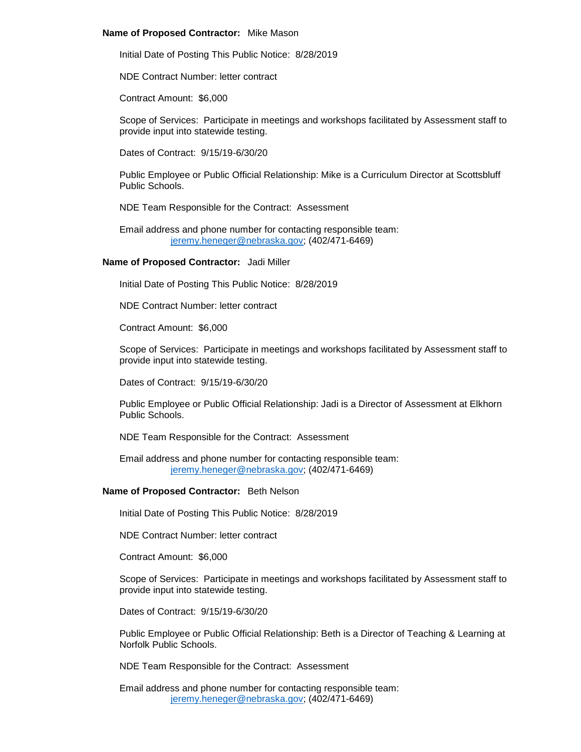### **Name of Proposed Contractor:** Mike Mason

Initial Date of Posting This Public Notice: 8/28/2019

NDE Contract Number: letter contract

Contract Amount: \$6,000

Scope of Services: Participate in meetings and workshops facilitated by Assessment staff to provide input into statewide testing.

Dates of Contract: 9/15/19-6/30/20

Public Employee or Public Official Relationship: Mike is a Curriculum Director at Scottsbluff Public Schools.

NDE Team Responsible for the Contract: Assessment

Email address and phone number for contacting responsible team: [jeremy.heneger@nebraska.gov;](mailto:jeremy.heneger@nebraska.gov) (402/471-6469)

#### **Name of Proposed Contractor:** Jadi Miller

Initial Date of Posting This Public Notice: 8/28/2019

NDE Contract Number: letter contract

Contract Amount: \$6,000

Scope of Services: Participate in meetings and workshops facilitated by Assessment staff to provide input into statewide testing.

Dates of Contract: 9/15/19-6/30/20

Public Employee or Public Official Relationship: Jadi is a Director of Assessment at Elkhorn Public Schools.

NDE Team Responsible for the Contract: Assessment

Email address and phone number for contacting responsible team: [jeremy.heneger@nebraska.gov;](mailto:jeremy.heneger@nebraska.gov) (402/471-6469)

#### **Name of Proposed Contractor:** Beth Nelson

Initial Date of Posting This Public Notice: 8/28/2019

NDE Contract Number: letter contract

Contract Amount: \$6,000

Scope of Services: Participate in meetings and workshops facilitated by Assessment staff to provide input into statewide testing.

Dates of Contract: 9/15/19-6/30/20

Public Employee or Public Official Relationship: Beth is a Director of Teaching & Learning at Norfolk Public Schools.

NDE Team Responsible for the Contract: Assessment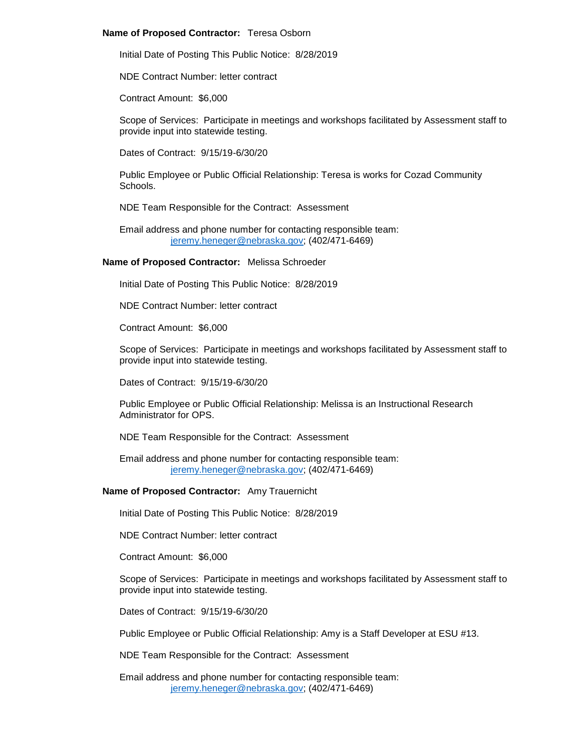### **Name of Proposed Contractor:** Teresa Osborn

Initial Date of Posting This Public Notice: 8/28/2019

NDE Contract Number: letter contract

Contract Amount: \$6,000

Scope of Services: Participate in meetings and workshops facilitated by Assessment staff to provide input into statewide testing.

Dates of Contract: 9/15/19-6/30/20

Public Employee or Public Official Relationship: Teresa is works for Cozad Community Schools.

NDE Team Responsible for the Contract: Assessment

Email address and phone number for contacting responsible team: [jeremy.heneger@nebraska.gov;](mailto:jeremy.heneger@nebraska.gov) (402/471-6469)

# **Name of Proposed Contractor:** Melissa Schroeder

Initial Date of Posting This Public Notice: 8/28/2019

NDE Contract Number: letter contract

Contract Amount: \$6,000

Scope of Services: Participate in meetings and workshops facilitated by Assessment staff to provide input into statewide testing.

Dates of Contract: 9/15/19-6/30/20

Public Employee or Public Official Relationship: Melissa is an Instructional Research Administrator for OPS.

NDE Team Responsible for the Contract: Assessment

Email address and phone number for contacting responsible team: [jeremy.heneger@nebraska.gov;](mailto:jeremy.heneger@nebraska.gov) (402/471-6469)

# **Name of Proposed Contractor:** Amy Trauernicht

Initial Date of Posting This Public Notice: 8/28/2019

NDE Contract Number: letter contract

Contract Amount: \$6,000

Scope of Services: Participate in meetings and workshops facilitated by Assessment staff to provide input into statewide testing.

Dates of Contract: 9/15/19-6/30/20

Public Employee or Public Official Relationship: Amy is a Staff Developer at ESU #13.

NDE Team Responsible for the Contract: Assessment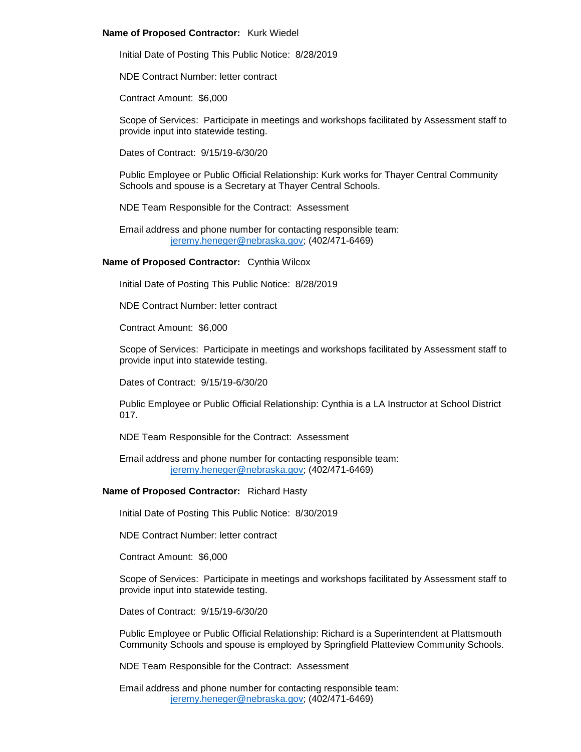### **Name of Proposed Contractor:** Kurk Wiedel

Initial Date of Posting This Public Notice: 8/28/2019

NDE Contract Number: letter contract

Contract Amount: \$6,000

Scope of Services: Participate in meetings and workshops facilitated by Assessment staff to provide input into statewide testing.

Dates of Contract: 9/15/19-6/30/20

Public Employee or Public Official Relationship: Kurk works for Thayer Central Community Schools and spouse is a Secretary at Thayer Central Schools.

NDE Team Responsible for the Contract: Assessment

Email address and phone number for contacting responsible team: [jeremy.heneger@nebraska.gov;](mailto:jeremy.heneger@nebraska.gov) (402/471-6469)

# **Name of Proposed Contractor:** Cynthia Wilcox

Initial Date of Posting This Public Notice: 8/28/2019

NDE Contract Number: letter contract

Contract Amount: \$6,000

Scope of Services: Participate in meetings and workshops facilitated by Assessment staff to provide input into statewide testing.

Dates of Contract: 9/15/19-6/30/20

Public Employee or Public Official Relationship: Cynthia is a LA Instructor at School District 017.

NDE Team Responsible for the Contract: Assessment

Email address and phone number for contacting responsible team: [jeremy.heneger@nebraska.gov;](mailto:jeremy.heneger@nebraska.gov) (402/471-6469)

# **Name of Proposed Contractor:** Richard Hasty

Initial Date of Posting This Public Notice: 8/30/2019

NDE Contract Number: letter contract

Contract Amount: \$6,000

Scope of Services: Participate in meetings and workshops facilitated by Assessment staff to provide input into statewide testing.

Dates of Contract: 9/15/19-6/30/20

Public Employee or Public Official Relationship: Richard is a Superintendent at Plattsmouth Community Schools and spouse is employed by Springfield Platteview Community Schools.

NDE Team Responsible for the Contract: Assessment